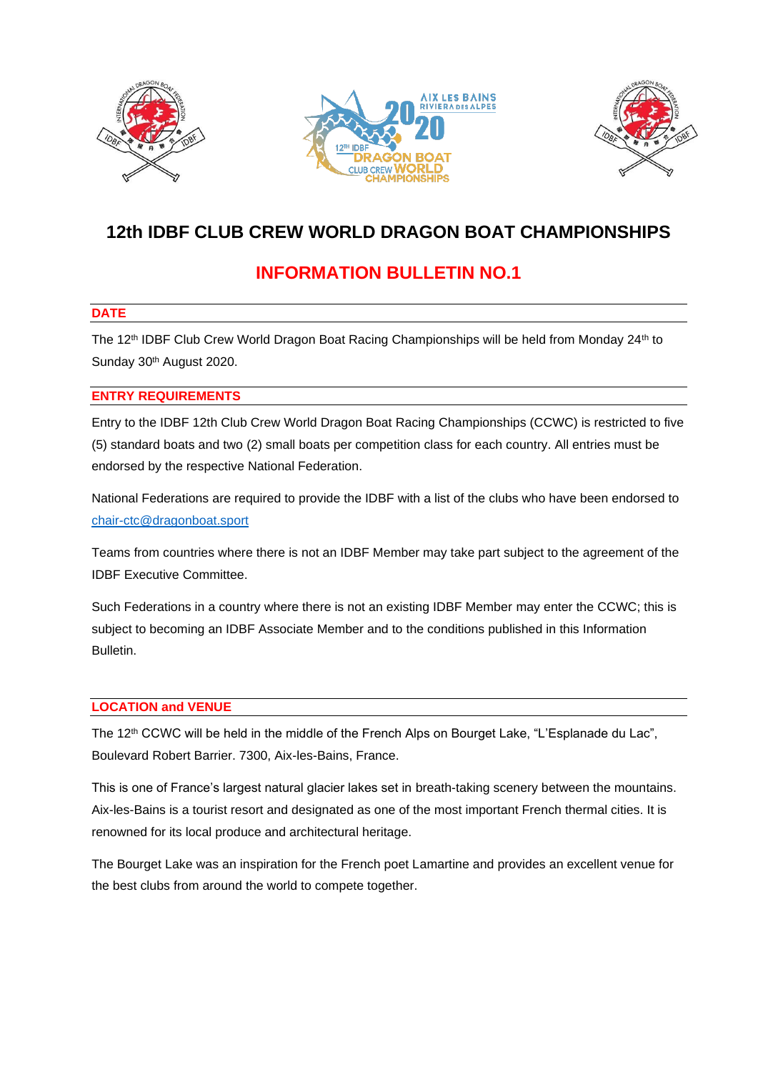





# **12th IDBF CLUB CREW WORLD DRAGON BOAT CHAMPIONSHIPS**

# **INFORMATION BULLETIN NO.1**

## **DATE**

The 12<sup>th</sup> IDBF Club Crew World Dragon Boat Racing Championships will be held from Monday 24<sup>th</sup> to Sunday 30<sup>th</sup> August 2020.

## **ENTRY REQUIREMENTS**

Entry to the IDBF 12th Club Crew World Dragon Boat Racing Championships (CCWC) is restricted to five (5) standard boats and two (2) small boats per competition class for each country. All entries must be endorsed by the respective National Federation.

National Federations are required to provide the IDBF with a list of the clubs who have been endorsed to [chair-ctc@dragonboat.sport](mailto:chair-ctc@dragonboat.sport)

Teams from countries where there is not an IDBF Member may take part subject to the agreement of the IDBF Executive Committee.

Such Federations in a country where there is not an existing IDBF Member may enter the CCWC; this is subject to becoming an IDBF Associate Member and to the conditions published in this Information Bulletin.

### **LOCATION and VENUE**

The 12<sup>th</sup> CCWC will be held in the middle of the French Alps on Bourget Lake, "L'Esplanade du Lac", Boulevard Robert Barrier. 7300, Aix-les-Bains, France.

This is one of France's largest natural glacier lakes set in breath-taking scenery between the mountains. Aix-les-Bains is a tourist resort and designated as one of the most important French thermal cities. It is renowned for its local produce and architectural heritage.

The Bourget Lake was an inspiration for the French poet Lamartine and provides an excellent venue for the best clubs from around the world to compete together.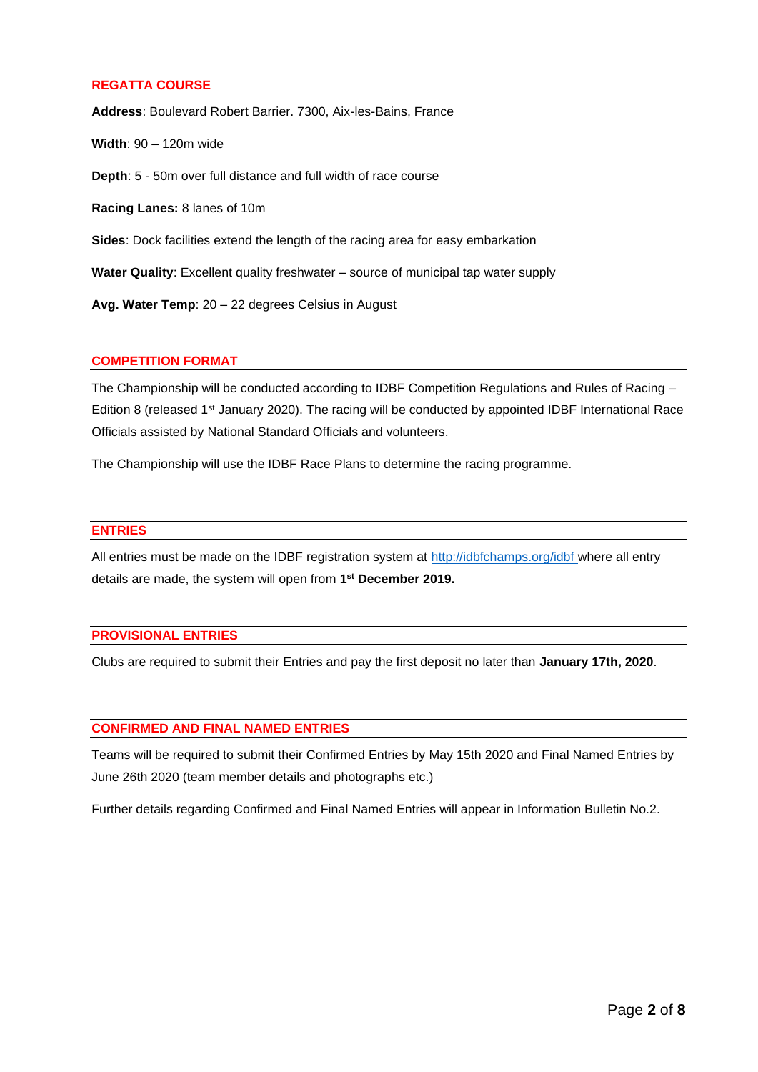#### **REGATTA COURSE**

**Address**: Boulevard Robert Barrier. 7300, Aix-les-Bains, France

**Width**: 90 – 120m wide

**Depth**: 5 - 50m over full distance and full width of race course

**Racing Lanes:** 8 lanes of 10m

**Sides**: Dock facilities extend the length of the racing area for easy embarkation

**Water Quality**: Excellent quality freshwater – source of municipal tap water supply

**Avg. Water Temp**: 20 – 22 degrees Celsius in August

#### **COMPETITION FORMAT**

The Championship will be conducted according to IDBF Competition Regulations and Rules of Racing – Edition 8 (released 1<sup>st</sup> January 2020). The racing will be conducted by appointed IDBF International Race Officials assisted by National Standard Officials and volunteers.

The Championship will use the IDBF Race Plans to determine the racing programme.

#### **ENTRIES**

All entries must be made on the IDBF registration system at<http://idbfchamps.org/idbf> where all entry details are made, the system will open from **1 st December 2019.**

### **PROVISIONAL ENTRIES**

Clubs are required to submit their Entries and pay the first deposit no later than **January 17th, 2020**.

### **CONFIRMED AND FINAL NAMED ENTRIES**

Teams will be required to submit their Confirmed Entries by May 15th 2020 and Final Named Entries by June 26th 2020 (team member details and photographs etc.)

Further details regarding Confirmed and Final Named Entries will appear in Information Bulletin No.2.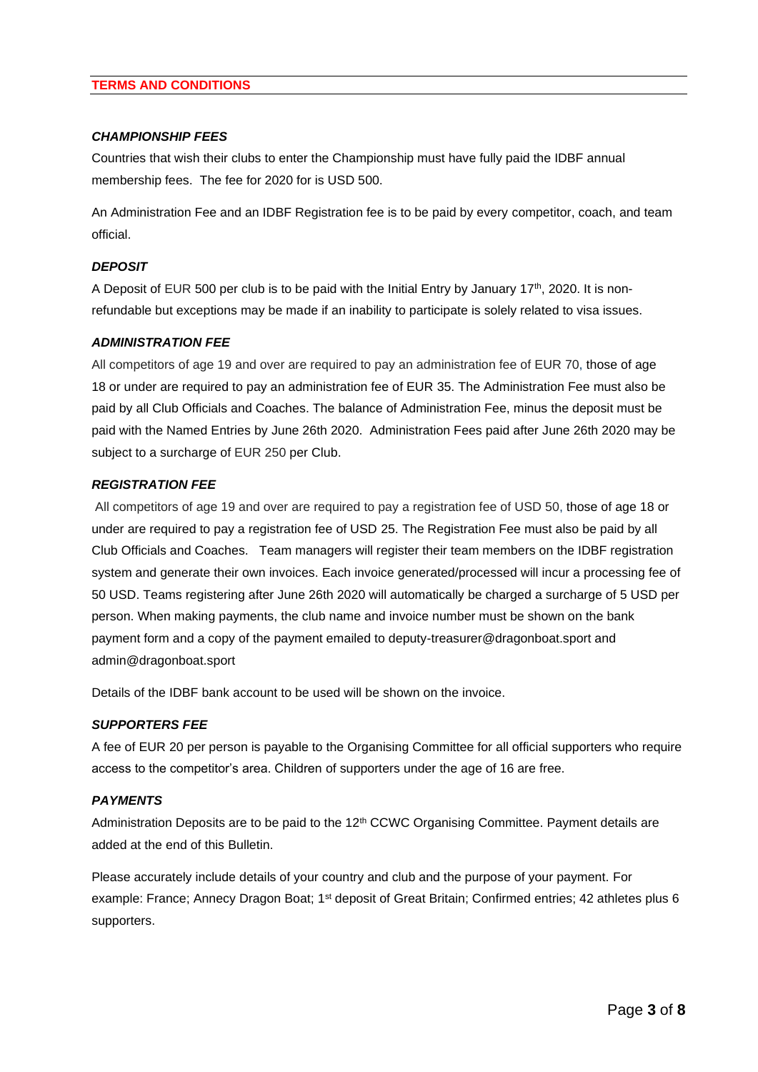#### **TERMS AND CONDITIONS**

#### *CHAMPIONSHIP FEES*

Countries that wish their clubs to enter the Championship must have fully paid the IDBF annual membership fees. The fee for 2020 for is USD 500.

An Administration Fee and an IDBF Registration fee is to be paid by every competitor, coach, and team official.

### *DEPOSIT*

A Deposit of EUR 500 per club is to be paid with the Initial Entry by January 17<sup>th</sup>, 2020. It is nonrefundable but exceptions may be made if an inability to participate is solely related to visa issues.

#### *ADMINISTRATION FEE*

All competitors of age 19 and over are required to pay an administration fee of EUR 70, those of age 18 or under are required to pay an administration fee of EUR 35. The Administration Fee must also be paid by all Club Officials and Coaches. The balance of Administration Fee, minus the deposit must be paid with the Named Entries by June 26th 2020. Administration Fees paid after June 26th 2020 may be subject to a surcharge of EUR 250 per Club.

#### *REGISTRATION FEE*

All competitors of age 19 and over are required to pay a registration fee of USD 50, those of age 18 or under are required to pay a registration fee of USD 25. The Registration Fee must also be paid by all Club Officials and Coaches. Team managers will register their team members on the IDBF registration system and generate their own invoices. Each invoice generated/processed will incur a processing fee of 50 USD. Teams registering after June 26th 2020 will automatically be charged a surcharge of 5 USD per person. When making payments, the club name and invoice number must be shown on the bank payment form and a copy of the payment emailed to deputy-treasurer@dragonboat.sport and admin@dragonboat.sport

Details of the IDBF bank account to be used will be shown on the invoice.

#### *SUPPORTERS FEE*

A fee of EUR 20 per person is payable to the Organising Committee for all official supporters who require access to the competitor's area. Children of supporters under the age of 16 are free.

#### *PAYMENTS*

Administration Deposits are to be paid to the 12<sup>th</sup> CCWC Organising Committee. Payment details are added at the end of this Bulletin.

Please accurately include details of your country and club and the purpose of your payment. For example: France; Annecy Dragon Boat; 1<sup>st</sup> deposit of Great Britain; Confirmed entries; 42 athletes plus 6 supporters.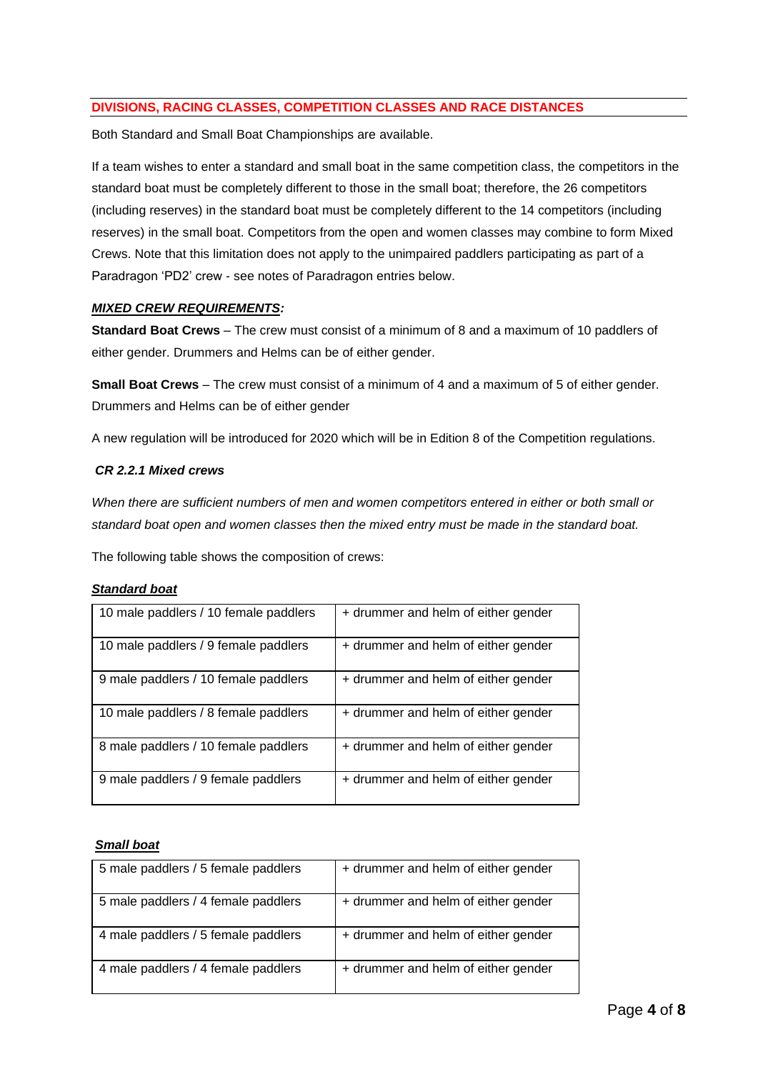## **DIVISIONS, RACING CLASSES, COMPETITION CLASSES AND RACE DISTANCES**

Both Standard and Small Boat Championships are available.

If a team wishes to enter a standard and small boat in the same competition class, the competitors in the standard boat must be completely different to those in the small boat; therefore, the 26 competitors (including reserves) in the standard boat must be completely different to the 14 competitors (including reserves) in the small boat. Competitors from the open and women classes may combine to form Mixed Crews. Note that this limitation does not apply to the unimpaired paddlers participating as part of a Paradragon 'PD2' crew - see notes of Paradragon entries below.

### *MIXED CREW REQUIREMENTS:*

**Standard Boat Crews** – The crew must consist of a minimum of 8 and a maximum of 10 paddlers of either gender. Drummers and Helms can be of either gender.

**Small Boat Crews** – The crew must consist of a minimum of 4 and a maximum of 5 of either gender. Drummers and Helms can be of either gender

A new regulation will be introduced for 2020 which will be in Edition 8 of the Competition regulations.

### *CR 2.2.1 Mixed crews*

*When there are sufficient numbers of men and women competitors entered in either or both small or standard boat open and women classes then the mixed entry must be made in the standard boat.* 

The following table shows the composition of crews:

#### *Standard boat*

| 10 male paddlers / 10 female paddlers | + drummer and helm of either gender |
|---------------------------------------|-------------------------------------|
| 10 male paddlers / 9 female paddlers  | + drummer and helm of either gender |
| 9 male paddlers / 10 female paddlers  | + drummer and helm of either gender |
| 10 male paddlers / 8 female paddlers  | + drummer and helm of either gender |
| 8 male paddlers / 10 female paddlers  | + drummer and helm of either gender |
| 9 male paddlers / 9 female paddlers   | + drummer and helm of either gender |

#### *Small boat*

| 5 male paddlers / 5 female paddlers | + drummer and helm of either gender |
|-------------------------------------|-------------------------------------|
| 5 male paddlers / 4 female paddlers | + drummer and helm of either gender |
| 4 male paddlers / 5 female paddlers | + drummer and helm of either gender |
| 4 male paddlers / 4 female paddlers | + drummer and helm of either gender |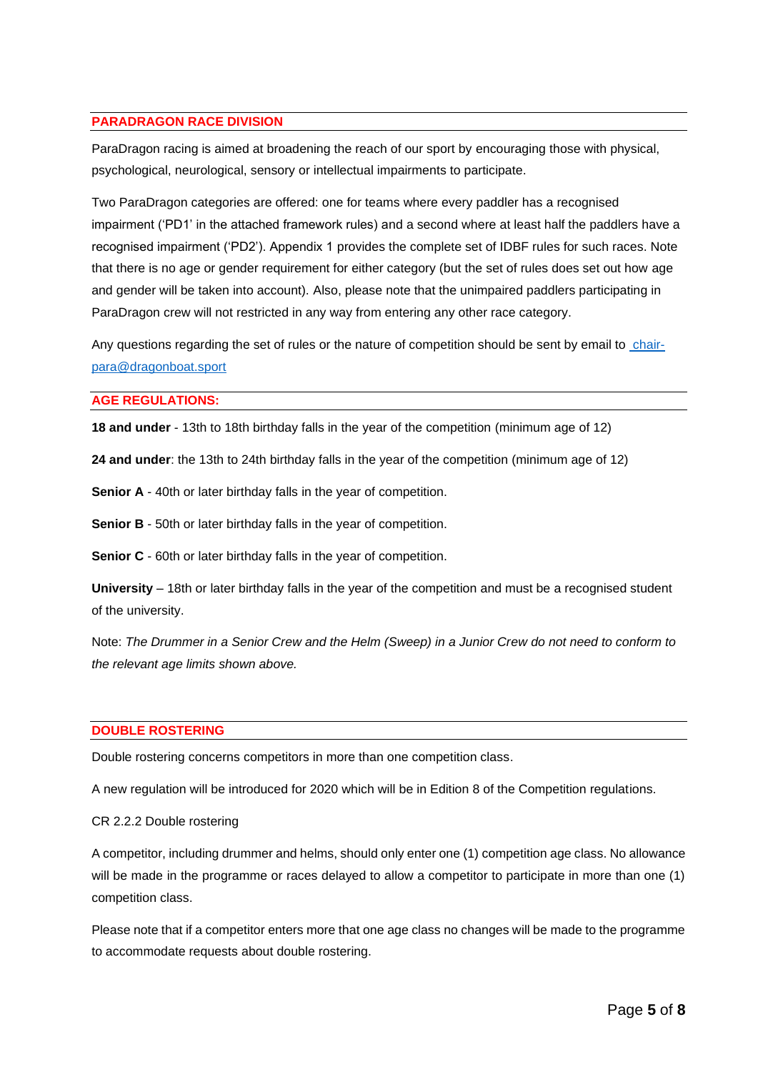#### **PARADRAGON RACE DIVISION**

ParaDragon racing is aimed at broadening the reach of our sport by encouraging those with physical, psychological, neurological, sensory or intellectual impairments to participate.

Two ParaDragon categories are offered: one for teams where every paddler has a recognised impairment ('PD1' in the attached framework rules) and a second where at least half the paddlers have a recognised impairment ('PD2'). Appendix 1 provides the complete set of IDBF rules for such races. Note that there is no age or gender requirement for either category (but the set of rules does set out how age and gender will be taken into account). Also, please note that the unimpaired paddlers participating in ParaDragon crew will not restricted in any way from entering any other race category.

Any questions regarding the set of rules or the nature of competition should be sent by email to [chair](mailto:chair-para@dragonboat.sport)[para@dragonboat.sport](mailto:chair-para@dragonboat.sport)

#### **AGE REGULATIONS:**

**18 and under** - 13th to 18th birthday falls in the year of the competition (minimum age of 12)

**24 and under**: the 13th to 24th birthday falls in the year of the competition (minimum age of 12)

**Senior A** - 40th or later birthday falls in the year of competition.

**Senior B** - 50th or later birthday falls in the year of competition.

**Senior C** - 60th or later birthday falls in the year of competition.

**University** – 18th or later birthday falls in the year of the competition and must be a recognised student of the university.

Note: *The Drummer in a Senior Crew and the Helm (Sweep) in a Junior Crew do not need to conform to the relevant age limits shown above.*

#### **DOUBLE ROSTERING**

Double rostering concerns competitors in more than one competition class.

A new regulation will be introduced for 2020 which will be in Edition 8 of the Competition regulations.

#### CR 2.2.2 Double rostering

A competitor, including drummer and helms, should only enter one (1) competition age class. No allowance will be made in the programme or races delayed to allow a competitor to participate in more than one (1) competition class.

Please note that if a competitor enters more that one age class no changes will be made to the programme to accommodate requests about double rostering.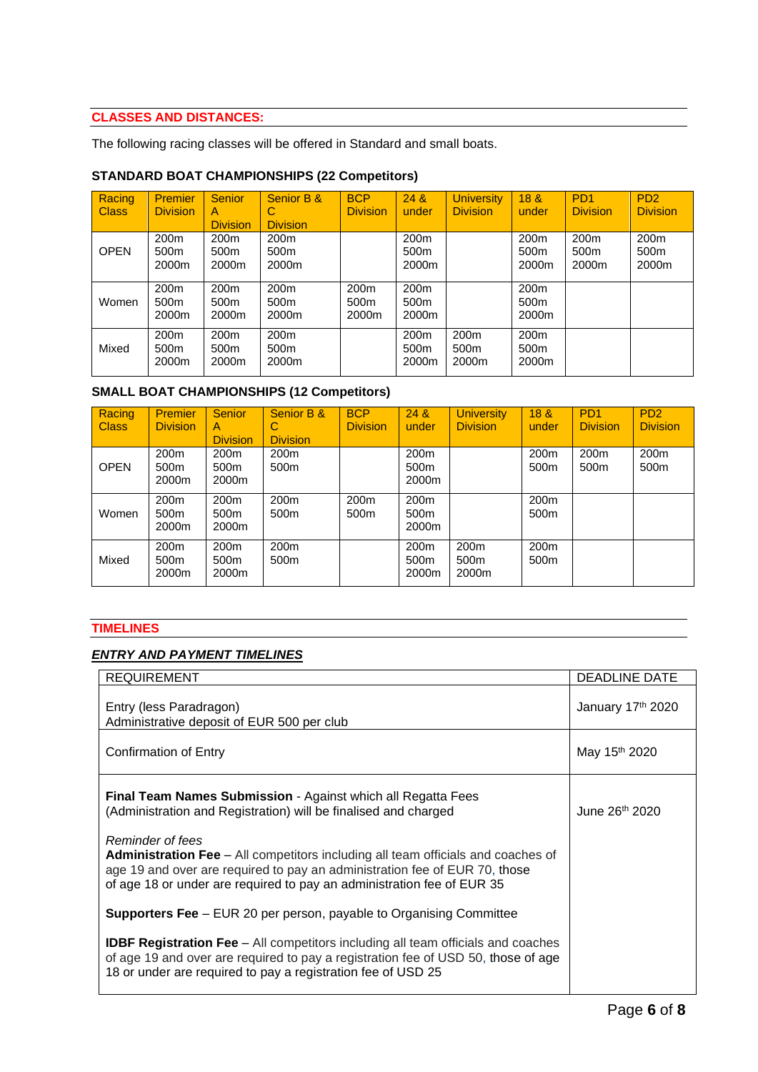# **CLASSES AND DISTANCES:**

The following racing classes will be offered in Standard and small boats.

## **STANDARD BOAT CHAMPIONSHIPS (22 Competitors)**

| Racing<br><b>Class</b> | <b>Premier</b><br><b>Division</b> | <b>Senior</b><br>A<br><b>Division</b>         | Senior B &<br>С<br><b>Division</b>            | <b>BCP</b><br><b>Division</b>                 | 24 &<br>under                                 | <b>University</b><br><b>Division</b>          | 18 <sup>8</sup><br>under                      | P <sub>D</sub> <sub>1</sub><br><b>Division</b> | P <sub>D</sub> <sub>2</sub><br><b>Division</b> |
|------------------------|-----------------------------------|-----------------------------------------------|-----------------------------------------------|-----------------------------------------------|-----------------------------------------------|-----------------------------------------------|-----------------------------------------------|------------------------------------------------|------------------------------------------------|
| <b>OPEN</b>            | 200 <sub>m</sub><br>500m<br>2000m | 200 <sub>m</sub><br>500 <sub>m</sub><br>2000m | 200 <sub>m</sub><br>500 <sub>m</sub><br>2000m |                                               | 200 <sub>m</sub><br>500 <sub>m</sub><br>2000m |                                               | 200 <sub>m</sub><br>500m<br>2000m             | 200 <sub>m</sub><br>500 <sub>m</sub><br>2000m  | 200 <sub>m</sub><br>500 <sub>m</sub><br>2000m  |
| Women                  | 200 <sub>m</sub><br>500m<br>2000m | 200 <sub>m</sub><br>500 <sub>m</sub><br>2000m | 200 <sub>m</sub><br>500 <sub>m</sub><br>2000m | 200 <sub>m</sub><br>500 <sub>m</sub><br>2000m | 200 <sub>m</sub><br>500 <sub>m</sub><br>2000m |                                               | 200 <sub>m</sub><br>500m<br>2000m             |                                                |                                                |
| Mixed                  | 200 <sub>m</sub><br>500m<br>2000m | 200 <sub>m</sub><br>500 <sub>m</sub><br>2000m | 200 <sub>m</sub><br>500 <sub>m</sub><br>2000m |                                               | 200 <sub>m</sub><br>500 <sub>m</sub><br>2000m | 200 <sub>m</sub><br>500 <sub>m</sub><br>2000m | 200 <sub>m</sub><br>500 <sub>m</sub><br>2000m |                                                |                                                |

# **SMALL BOAT CHAMPIONSHIPS (12 Competitors)**

| Racing<br><b>Class</b> | <b>Premier</b><br><b>Division</b> | <b>Senior</b><br>A<br><b>Division</b> | Senior B &<br>С<br><b>Division</b>   | <b>BCP</b><br><b>Division</b>        | 24 &<br>under                                 | <b>University</b><br><b>Division</b>          | 18 <sub>8</sub><br>under             | P <sub>D</sub> <sub>1</sub><br><b>Division</b> | P <sub>D</sub> <sub>2</sub><br><b>Division</b> |
|------------------------|-----------------------------------|---------------------------------------|--------------------------------------|--------------------------------------|-----------------------------------------------|-----------------------------------------------|--------------------------------------|------------------------------------------------|------------------------------------------------|
| <b>OPEN</b>            | 200 <sub>m</sub><br>500m<br>2000m | 200 <sub>m</sub><br>500m<br>2000m     | 200 <sub>m</sub><br>500 <sub>m</sub> |                                      | 200 <sub>m</sub><br>500 <sub>m</sub><br>2000m |                                               | 200 <sub>m</sub><br>500 <sub>m</sub> | 200 <sub>m</sub><br>500 <sub>m</sub>           | 200 <sub>m</sub><br>500m                       |
| Women                  | 200 <sub>m</sub><br>500m<br>2000m | 200 <sub>m</sub><br>500m<br>2000m     | 200 <sub>m</sub><br>500 <sub>m</sub> | 200 <sub>m</sub><br>500 <sub>m</sub> | 200 <sub>m</sub><br>500 <sub>m</sub><br>2000m |                                               | 200 <sub>m</sub><br>500 <sub>m</sub> |                                                |                                                |
| Mixed                  | 200 <sub>m</sub><br>500m<br>2000m | 200 <sub>m</sub><br>500m<br>2000m     | 200 <sub>m</sub><br>500 <sub>m</sub> |                                      | 200 <sub>m</sub><br>500 <sub>m</sub><br>2000m | 200 <sub>m</sub><br>500 <sub>m</sub><br>2000m | 200 <sub>m</sub><br>500 <sub>m</sub> |                                                |                                                |

## **TIMELINES**

### *ENTRY AND PAYMENT TIMELINES*

| <b>REQUIREMENT</b>                                                                                                                                                                                                                                                  | <b>DEADLINE DATE</b>       |
|---------------------------------------------------------------------------------------------------------------------------------------------------------------------------------------------------------------------------------------------------------------------|----------------------------|
| Entry (less Paradragon)<br>Administrative deposit of EUR 500 per club                                                                                                                                                                                               | January 17th 2020          |
| <b>Confirmation of Entry</b>                                                                                                                                                                                                                                        | May 15 <sup>th</sup> 2020  |
| Final Team Names Submission - Against which all Regatta Fees<br>(Administration and Registration) will be finalised and charged                                                                                                                                     | June 26 <sup>th</sup> 2020 |
| Reminder of fees<br><b>Administration Fee</b> – All competitors including all team officials and coaches of<br>age 19 and over are required to pay an administration fee of EUR 70, those<br>of age 18 or under are required to pay an administration fee of EUR 35 |                            |
| <b>Supporters Fee</b> – EUR 20 per person, payable to Organising Committee                                                                                                                                                                                          |                            |
| <b>IDBF Registration Fee</b> – All competitors including all team officials and coaches<br>of age 19 and over are required to pay a registration fee of USD 50, those of age<br>18 or under are required to pay a registration fee of USD 25                        |                            |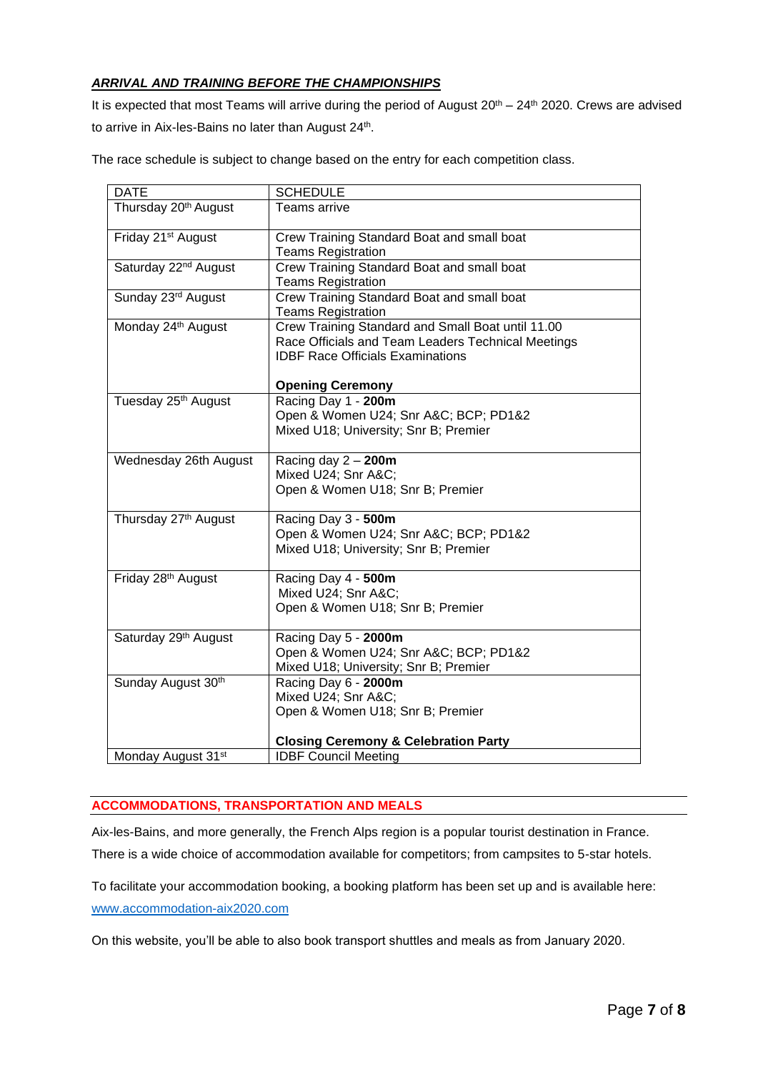# *ARRIVAL AND TRAINING BEFORE THE CHAMPIONSHIPS*

It is expected that most Teams will arrive during the period of August 20<sup>th</sup> – 24<sup>th</sup> 2020. Crews are advised to arrive in Aix-les-Bains no later than August 24<sup>th</sup>.

The race schedule is subject to change based on the entry for each competition class.

| <b>DATE</b>                      | <b>SCHEDULE</b>                                    |
|----------------------------------|----------------------------------------------------|
| Thursday 20 <sup>th</sup> August | Teams arrive                                       |
|                                  |                                                    |
| Friday 21 <sup>st</sup> August   |                                                    |
|                                  | Crew Training Standard Boat and small boat         |
|                                  | <b>Teams Registration</b>                          |
| Saturday 22 <sup>nd</sup> August | Crew Training Standard Boat and small boat         |
|                                  | <b>Teams Registration</b>                          |
| Sunday 23rd August               | Crew Training Standard Boat and small boat         |
|                                  | <b>Teams Registration</b>                          |
| Monday 24th August               | Crew Training Standard and Small Boat until 11.00  |
|                                  | Race Officials and Team Leaders Technical Meetings |
|                                  | <b>IDBF Race Officials Examinations</b>            |
|                                  |                                                    |
|                                  | <b>Opening Ceremony</b>                            |
| Tuesday 25 <sup>th</sup> August  | Racing Day 1 - 200m                                |
|                                  | Open & Women U24; Snr A&C BCP; PD1&2               |
|                                  | Mixed U18; University; Snr B; Premier              |
|                                  |                                                    |
| Wednesday 26th August            | Racing day $2 - 200$ m                             |
|                                  | Mixed U24; Snr A&C                                 |
|                                  | Open & Women U18; Snr B; Premier                   |
|                                  |                                                    |
| Thursday 27 <sup>th</sup> August | Racing Day 3 - 500m                                |
|                                  | Open & Women U24; Snr A&C BCP; PD1&2               |
|                                  | Mixed U18; University; Snr B; Premier              |
|                                  |                                                    |
| Friday 28th August               | Racing Day 4 - 500m                                |
|                                  | Mixed U24; Snr A&C                                 |
|                                  | Open & Women U18; Snr B; Premier                   |
|                                  |                                                    |
| Saturday 29th August             | Racing Day 5 - 2000m                               |
|                                  | Open & Women U24; Snr A&C BCP; PD1&2               |
|                                  | Mixed U18; University; Snr B; Premier              |
| Sunday August 30th               | Racing Day 6 - 2000m                               |
|                                  | Mixed U24; Snr A&C                                 |
|                                  | Open & Women U18; Snr B; Premier                   |
|                                  |                                                    |
|                                  | <b>Closing Ceremony &amp; Celebration Party</b>    |
|                                  | <b>IDBF Council Meeting</b>                        |
| Monday August 31 <sup>st</sup>   |                                                    |

## **ACCOMMODATIONS, TRANSPORTATION AND MEALS**

Aix-les-Bains, and more generally, the French Alps region is a popular tourist destination in France. There is a wide choice of accommodation available for competitors; from campsites to 5-star hotels.

To facilitate your accommodation booking, a booking platform has been set up and is available here: [www.accommodation-aix2020.com](http://www.accommodation-aix2020.com/)

On this website, you'll be able to also book transport shuttles and meals as from January 2020.